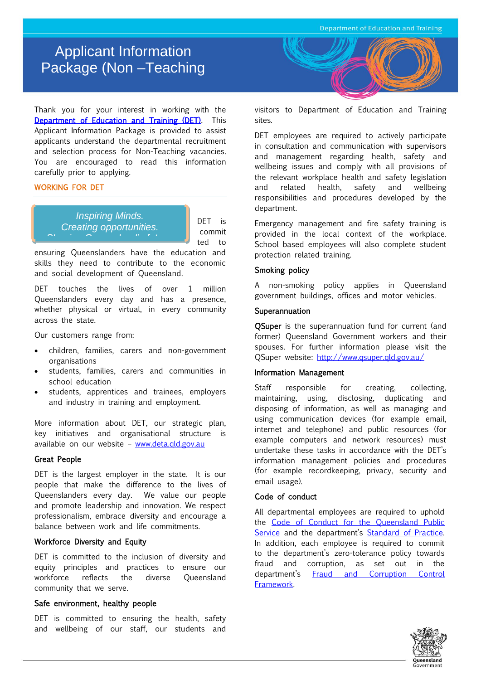# Applicant Information Package (Non –Teaching

Vacancies)<br>Vacancies

Thank you for your interest in working with the [Department of Education and Training \(DET\).](http://deta.qld.gov.au/) This Applicant Information Package is provided to assist applicants understand the departmental recruitment and selection process for Non-Teaching vacancies. You are encouraged to read this information carefully prior to applying.

# WORKING FOR DET



DET is commit ted to

ensuring Queenslanders have the education and skills they need to contribute to the economic and social development of Queensland.

DET touches the lives of over 1 million Queenslanders every day and has a presence, whether physical or virtual, in every community across the state.

Our customers range from:

- children, families, carers and non-government organisations
- students, families, carers and communities in school education
- students, apprentices and trainees, employers and industry in training and employment.

More information about DET, our strategic plan, key initiatives and organisational structure is available on our website – [www.deta.qld.gov.au](http://www.deta.qld.gov.au/)

# Great People

DET is the largest employer in the state. It is our people that make the difference to the lives of Queenslanders every day. We value our people and promote leadership and innovation. We respect professionalism, embrace diversity and encourage a balance between work and life commitments.

## Workforce Diversity and Equity

DET is committed to the inclusion of diversity and equity principles and practices to ensure our workforce reflects the diverse Queensland community that we serve.

## Safe environment, healthy people

DET is committed to ensuring the health, safety and wellbeing of our staff, our students and



visitors to Department of Education and Training sites.

DET employees are required to actively participate in consultation and communication with supervisors and management regarding health, safety and wellbeing issues and comply with all provisions of the relevant workplace health and safety legislation and related health, safety and wellbeing responsibilities and procedures developed by the department.

Emergency management and fire safety training is provided in the local context of the workplace. School based employees will also complete student protection related training.

# Smoking policy

A non-smoking policy applies in Queensland government buildings, offices and motor vehicles.

# Superannuation

**OSuper** is the superannuation fund for current (and former) Queensland Government workers and their spouses. For further information please visit the QSuper website:<http://www.qsuper.qld.gov.au/>

# Information Management

Staff responsible for creating, collecting, maintaining, using, disclosing, duplicating and disposing of information, as well as managing and using communication devices (for example email, internet and telephone) and public resources (for example computers and network resources) must undertake these tasks in accordance with the DET's information management policies and procedures (for example recordkeeping, privacy, security and email usage).

## Code of conduct

All departmental employees are required to uphold the [Code of Conduct for the Queensland Public](http://www.psc.qld.gov.au/includes/assets/qps-code-conduct.pdf)  [Service](http://www.psc.qld.gov.au/includes/assets/qps-code-conduct.pdf) and the department's Standard of Practice. In addition, each employee is required to commit to the department's zero-tolerance policy towards fraud and corruption, as set out in the department's [Fraud and Corruption Control](http://deta.qld.gov.au/corporate/pdf/dete-fraud-and-corruption-control-framework.pdf)  [Framework.](http://deta.qld.gov.au/corporate/pdf/dete-fraud-and-corruption-control-framework.pdf)

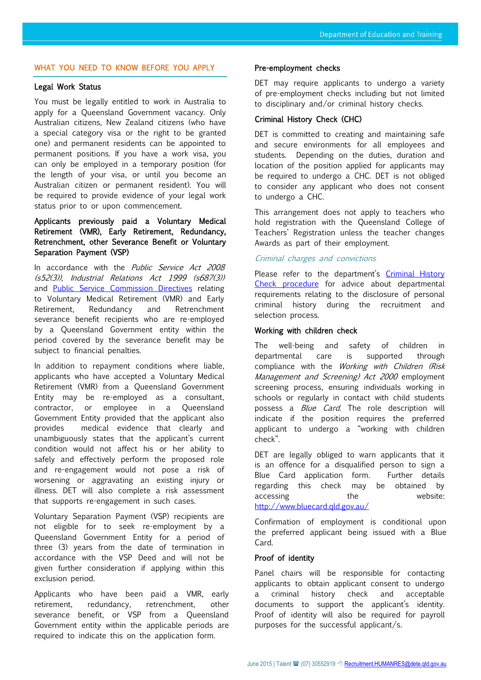# WHAT YOU NEED TO KNOW BEFORE YOU APPLY

# Legal Work Status

You must be legally entitled to work in Australia to apply for a Queensland Government vacancy. Only Australian citizens, New Zealand citizens (who have a special category visa or the right to be granted one) and permanent residents can be appointed to permanent positions. If you have a work visa, you can only be employed in a temporary position (for the length of your visa, or until you become an Australian citizen or permanent resident). You will be required to provide evidence of your legal work status prior to or upon commencement.

# Applicants previously paid a Voluntary Medical Retirement (VMR), Early Retirement, Redundancy, Retrenchment, other Severance Benefit or Voluntary Separation Payment (VSP)

In accordance with the *Public Service Act 2008* (s52(3)), Industrial Relations Act 1999 (s687(3)) and [Public Service Commission Directives](http://www.psc.qld.gov.au/publications/directives/date-of-release.aspx) relating to Voluntary Medical Retirement (VMR) and Early Retirement, Redundancy and Retrenchment severance benefit recipients who are re-employed by a Queensland Government entity within the period covered by the severance benefit may be subject to financial penalties.

In addition to repayment conditions where liable, applicants who have accepted a Voluntary Medical Retirement (VMR) from a Queensland Government Entity may be re-employed as a consultant, contractor, or employee in a Queensland Government Entity provided that the applicant also provides medical evidence that clearly and unambiguously states that the applicant's current condition would not affect his or her ability to safely and effectively perform the proposed role and re-engagement would not pose a risk of worsening or aggravating an existing injury or illness. DET will also complete a risk assessment that supports re-engagement in such cases.

Voluntary Separation Payment (VSP) recipients are not eligible for to seek re-employment by a Queensland Government Entity for a period of three (3) years from the date of termination in accordance with the VSP Deed and will not be given further consideration if applying within this exclusion period.

Applicants who have been paid a VMR, early retirement, redundancy, retrenchment, other severance benefit, or VSP from a Queensland Government entity within the applicable periods are required to indicate this on the application form.

#### Pre-employment checks

DET may require applicants to undergo a variety of pre-employment checks including but not limited to disciplinary and/or criminal history checks.

## Criminal History Check (CHC)

DET is committed to creating and maintaining safe and secure environments for all employees and students. Depending on the duties, duration and location of the position applied for applicants may be required to undergo a CHC. DET is not obliged to consider any applicant who does not consent to undergo a CHC.

This arrangement does not apply to teachers who hold registration with the Queensland College of Teachers' Registration unless the teacher changes Awards as part of their employment.

#### Criminal charges and convictions

Please refer to the department's Criminal History [Check procedure](http://ppr.det.qld.gov.au/corp/hr/hr/Pages/Criminal-History-Checks.aspx) for advice about departmental requirements relating to the disclosure of personal criminal history during the recruitment and selection process.

## Working with children check

The well-being and safety of children in departmental care is supported through compliance with the Working with Children (Risk Management and Screening) Act 2000 employment screening process, ensuring individuals working in schools or regularly in contact with child students possess a Blue Card. The role description will indicate if the position requires the preferred applicant to undergo a "working with children check".

DET are legally obliged to warn applicants that it is an offence for a disqualified person to sign a Blue Card application form. Further details regarding this check may be obtained by accessing the the website: <http://www.bluecard.qld.gov.au/>

Confirmation of employment is conditional upon the preferred applicant being issued with a Blue Card.

#### Proof of identity

Panel chairs will be responsible for contacting applicants to obtain applicant consent to undergo a criminal history check and acceptable documents to support the applicant's identity. Proof of identity will also be required for payroll purposes for the successful applicant/s.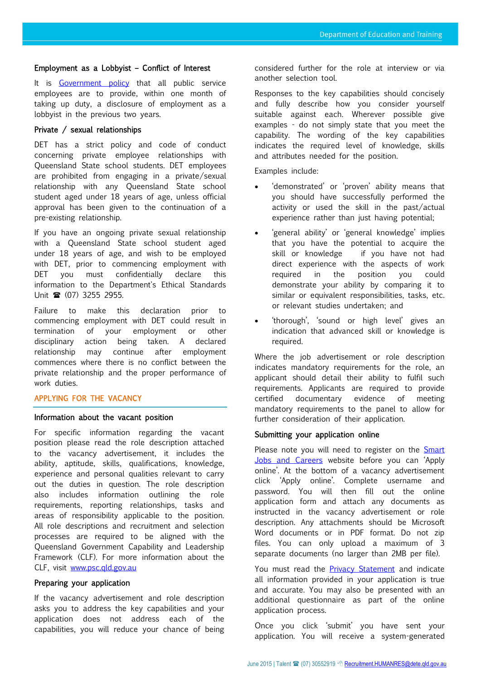## Employment as a Lobbyist – Conflict of Interest

It is [Government policy](http://www.psc.qld.gov.au/publications/assets/policies/lobbyist-disclosure-policy.pdf) that all public service employees are to provide, within one month of taking up duty, a disclosure of employment as a lobbyist in the previous two years.

# Private / sexual relationships

DET has a strict policy and code of conduct concerning private employee relationships with Queensland State school students. DET employees are prohibited from engaging in a private/sexual relationship with any Queensland State school student aged under 18 years of age, unless official approval has been given to the continuation of a pre-existing relationship.

If you have an ongoing private sexual relationship with a Queensland State school student aged under 18 years of age, and wish to be employed with DET, prior to commencing employment with DET you must confidentially declare this information to the Department's Ethical Standards Unit  $\hat{R}$  (07) 3255 2955.

Failure to make this declaration prior to commencing employment with DET could result in termination of your employment or other disciplinary action being taken. A declared relationship may continue after employment commences where there is no conflict between the private relationship and the proper performance of work duties.

## APPLYING FOR THE VACANCY

#### Information about the vacant position

For specific information regarding the vacant position please read the role description attached to the vacancy advertisement, it includes the ability, aptitude, skills, qualifications, knowledge, experience and personal qualities relevant to carry out the duties in question. The role description also includes information outlining the role requirements, reporting relationships, tasks and areas of responsibility applicable to the position. All role descriptions and recruitment and selection processes are required to be aligned with the Queensland Government Capability and Leadership Framework (CLF). For more information about the CLF, visit [www.psc.qld.gov.au](http://www.psc.qld.gov.au/)

#### Preparing your application

If the vacancy advertisement and role description asks you to address the key capabilities and your application does not address each of the capabilities, you will reduce your chance of being considered further for the role at interview or via another selection tool.

Responses to the key capabilities should concisely and fully describe how you consider yourself suitable against each. Wherever possible give examples - do not simply state that you meet the capability. The wording of the key capabilities indicates the required level of knowledge, skills and attributes needed for the position.

Examples include:

- 'demonstrated' or 'proven' ability means that you should have successfully performed the activity or used the skill in the past/actual experience rather than just having potential;
- 'general ability' or 'general knowledge' implies that you have the potential to acquire the skill or knowledge if you have not had direct experience with the aspects of work required in the position you could demonstrate your ability by comparing it to similar or equivalent responsibilities, tasks, etc. or relevant studies undertaken; and
- 'thorough', 'sound or high level' gives an indication that advanced skill or knowledge is required.

Where the job advertisement or role description indicates mandatory requirements for the role, an applicant should detail their ability to fulfil such requirements. Applicants are required to provide certified documentary evidence of meeting mandatory requirements to the panel to allow for further consideration of their application.

#### Submitting your application online

Please note you will need to register on the **Smart** [Jobs and Careers](https://smartjobs.qld.gov.au/) website before you can 'Apply online'. At the bottom of a vacancy advertisement click 'Apply online'. Complete username and password. You will then fill out the online application form and attach any documents as instructed in the vacancy advertisement or role description. Any attachments should be Microsoft Word documents or in PDF format. Do not zip files. You can only upload a maximum of 3 separate documents (no larger than 2MB per file).

You must read the [Privacy Statement](https://smartjobs.qld.gov.au/jobtools/apcustomappmgr.onlineappform?in_organid=14904&in_sessionid=1850251013555466&in_host_and_path=&in_template_orgId=14904&in_version=1&in_site=Smart%20Jobs&in_appid=7340510&in_userid=1080386023#!lightbox-uid-0) and indicate all information provided in your application is true and accurate. You may also be presented with an additional questionnaire as part of the online application process.

Once you click 'submit' you have sent your application. You will receive a system-generated